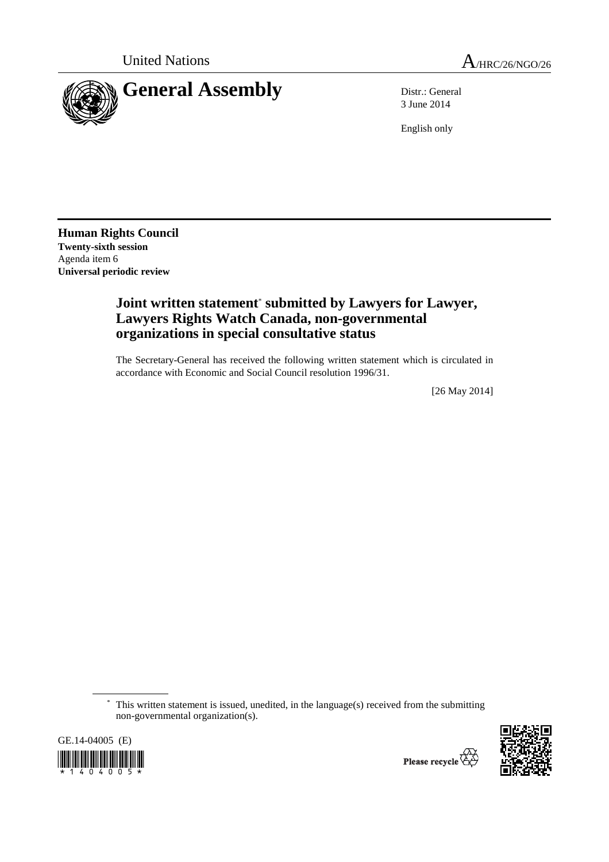

3 June 2014

English only

**Human Rights Council Twenty-sixth session**  Agenda item 6 **Universal periodic review** 

# **Joint written statement**\*  **submitted by Lawyers for Lawyer, Lawyers Rights Watch Canada, non-governmental organizations in special consultative status**

The Secretary-General has received the following written statement which is circulated in accordance with Economic and Social Council resolution 1996/31.

[26 May 2014]

 \* This written statement is issued, unedited, in the language(s) received from the submitting non-governmental organization(s).

GE.14-04005 (E) 1404005

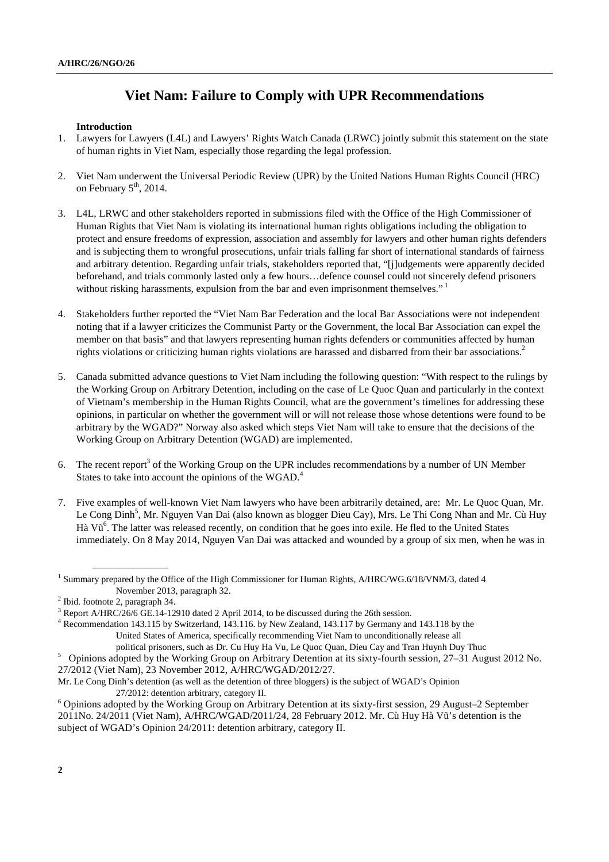# **Viet Nam: Failure to Comply with UPR Recommendations**

### **Introduction**

- 1. Lawyers for Lawyers (L4L) and Lawyers' Rights Watch Canada (LRWC) jointly submit this statement on the state of human rights in Viet Nam, especially those regarding the legal profession.
- 2. Viet Nam underwent the Universal Periodic Review (UPR) by the United Nations Human Rights Council (HRC) on February  $5<sup>th</sup>$ , 2014.
- 3. L4L, LRWC and other stakeholders reported in submissions filed with the Office of the High Commissioner of Human Rights that Viet Nam is violating its international human rights obligations including the obligation to protect and ensure freedoms of expression, association and assembly for lawyers and other human rights defenders and is subjecting them to wrongful prosecutions, unfair trials falling far short of international standards of fairness and arbitrary detention. Regarding unfair trials, stakeholders reported that, "[j]udgements were apparently decided beforehand, and trials commonly lasted only a few hours…defence counsel could not sincerely defend prisoners without risking harassments, expulsion from the bar and even imprisonment themselves."<sup>1</sup>
- 4. Stakeholders further reported the "Viet Nam Bar Federation and the local Bar Associations were not independent noting that if a lawyer criticizes the Communist Party or the Government, the local Bar Association can expel the member on that basis" and that lawyers representing human rights defenders or communities affected by human rights violations or criticizing human rights violations are harassed and disbarred from their bar associations.<sup>2</sup>
- 5. Canada submitted advance questions to Viet Nam including the following question: "With respect to the rulings by the Working Group on Arbitrary Detention, including on the case of Le Quoc Quan and particularly in the context of Vietnam's membership in the Human Rights Council, what are the government's timelines for addressing these opinions, in particular on whether the government will or will not release those whose detentions were found to be arbitrary by the WGAD?" Norway also asked which steps Viet Nam will take to ensure that the decisions of the Working Group on Arbitrary Detention (WGAD) are implemented.
- 6. The recent report<sup>3</sup> of the Working Group on the UPR includes recommendations by a number of UN Member States to take into account the opinions of the WGAD. $4$
- 7. Five examples of well-known Viet Nam lawyers who have been arbitrarily detained, are: Mr. Le Quoc Quan, Mr. Le Cong Dinh<sup>5</sup>, Mr. Nguyen Van Dai (also known as blogger Dieu Cay), Mrs. Le Thi Cong Nhan and Mr. Cù Huy Hà Vũ<sup>6</sup>. The latter was released recently, on condition that he goes into exile. He fled to the United States immediately. On 8 May 2014, Nguyen Van Dai was attacked and wounded by a group of six men, when he was in

<sup>&</sup>lt;sup>1</sup> Summary prepared by the Office of the High Commissioner for Human Rights, A/HRC/WG.6/18/VNM/3, dated 4 November 2013, paragraph 32. 2 Ibid. footnote 2, paragraph 34.

 $3$  Report A/HRC/26/6 GE.14-12910 dated 2 April 2014, to be discussed during the 26th session.

<sup>4</sup> Recommendation 143.115 by Switzerland, 143.116. by New Zealand, 143.117 by Germany and 143.118 by the United States of America, specifically recommending Viet Nam to unconditionally release all

political prisoners, such as Dr. Cu Huy Ha Vu, Le Quoc Quan, Dieu Cay and Tran Huynh Duy Thuc<br><sup>5</sup> Opinions adopted by the Working Group on Arbitrary Detention at its sixty-fourth session, 27–31 August 2012 No. 27/2012 (Viet Nam), 23 November 2012, A/HRC/WGAD/2012/27.

Mr. Le Cong Dinh's detention (as well as the detention of three bloggers) is the subject of WGAD's Opinion 27/2012: detention arbitrary, category II.

<sup>&</sup>lt;sup>6</sup> Opinions adopted by the Working Group on Arbitrary Detention at its sixty-first session, 29 August–2 September 2011No. 24/2011 (Viet Nam), A/HRC/WGAD/2011/24, 28 February 2012. Mr. Cù Huy Hà Vũ's detention is the subject of WGAD's Opinion 24/2011: detention arbitrary, category II.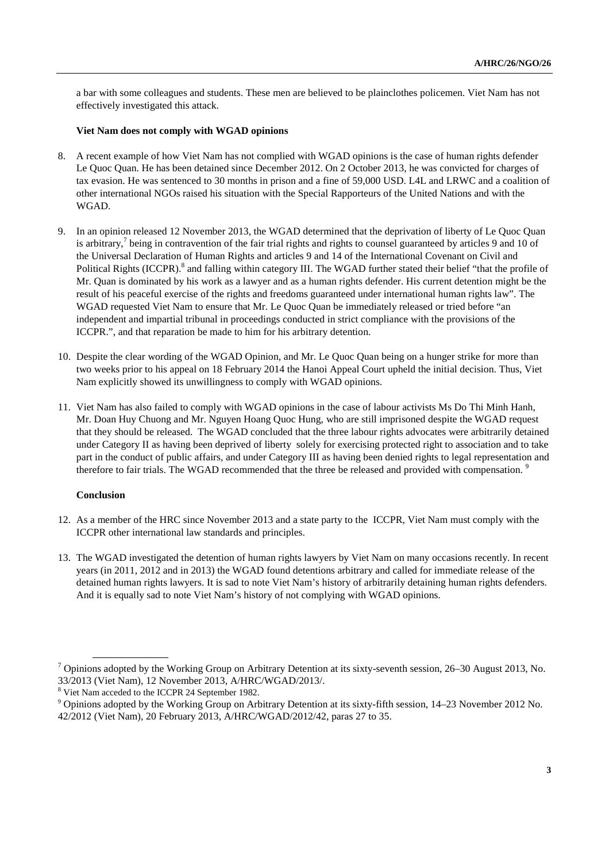a bar with some colleagues and students. These men are believed to be plainclothes policemen. Viet Nam has not effectively investigated this attack.

## **Viet Nam does not comply with WGAD opinions**

- 8. A recent example of how Viet Nam has not complied with WGAD opinions is the case of human rights defender Le Quoc Quan. He has been detained since December 2012. On 2 October 2013, he was convicted for charges of tax evasion. He was sentenced to 30 months in prison and a fine of 59,000 USD. L4L and LRWC and a coalition of other international NGOs raised his situation with the Special Rapporteurs of the United Nations and with the WGAD.
- 9. In an opinion released 12 November 2013, the WGAD determined that the deprivation of liberty of Le Quoc Quan is arbitrary,<sup>7</sup> being in contravention of the fair trial rights and rights to counsel guaranteed by articles 9 and 10 of the Universal Declaration of Human Rights and articles 9 and 14 of the International Covenant on Civil and Political Rights (ICCPR).<sup>8</sup> and falling within category III. The WGAD further stated their belief "that the profile of Mr. Quan is dominated by his work as a lawyer and as a human rights defender. His current detention might be the result of his peaceful exercise of the rights and freedoms guaranteed under international human rights law". The WGAD requested Viet Nam to ensure that Mr. Le Quoc Quan be immediately released or tried before "an independent and impartial tribunal in proceedings conducted in strict compliance with the provisions of the ICCPR.", and that reparation be made to him for his arbitrary detention.
- 10. Despite the clear wording of the WGAD Opinion, and Mr. Le Quoc Quan being on a hunger strike for more than two weeks prior to his appeal on 18 February 2014 the Hanoi Appeal Court upheld the initial decision. Thus, Viet Nam explicitly showed its unwillingness to comply with WGAD opinions.
- 11. Viet Nam has also failed to comply with WGAD opinions in the case of labour activists Ms Do Thi Minh Hanh, Mr. Doan Huy Chuong and Mr. Nguyen Hoang Quoc Hung, who are still imprisoned despite the WGAD request that they should be released. The WGAD concluded that the three labour rights advocates were arbitrarily detained under Category II as having been deprived of liberty solely for exercising protected right to association and to take part in the conduct of public affairs, and under Category III as having been denied rights to legal representation and therefore to fair trials. The WGAD recommended that the three be released and provided with compensation.<sup>5</sup>

### **Conclusion**

- 12. As a member of the HRC since November 2013 and a state party to the ICCPR, Viet Nam must comply with the ICCPR other international law standards and principles.
- 13. The WGAD investigated the detention of human rights lawyers by Viet Nam on many occasions recently. In recent years (in 2011, 2012 and in 2013) the WGAD found detentions arbitrary and called for immediate release of the detained human rights lawyers. It is sad to note Viet Nam's history of arbitrarily detaining human rights defenders. And it is equally sad to note Viet Nam's history of not complying with WGAD opinions.

 $^7$  Opinions adopted by the Working Group on Arbitrary Detention at its sixty-seventh session, 26–30 August 2013, No. 33/2013 (Viet Nam), 12 November 2013, A/HRC/WGAD/2013/.

<sup>&</sup>lt;sup>8</sup> Viet Nam acceded to the ICCPR 24 September 1982.

<sup>9</sup> Opinions adopted by the Working Group on Arbitrary Detention at its sixty-fifth session, 14–23 November 2012 No. 42/2012 (Viet Nam), 20 February 2013, A/HRC/WGAD/2012/42, paras 27 to 35.